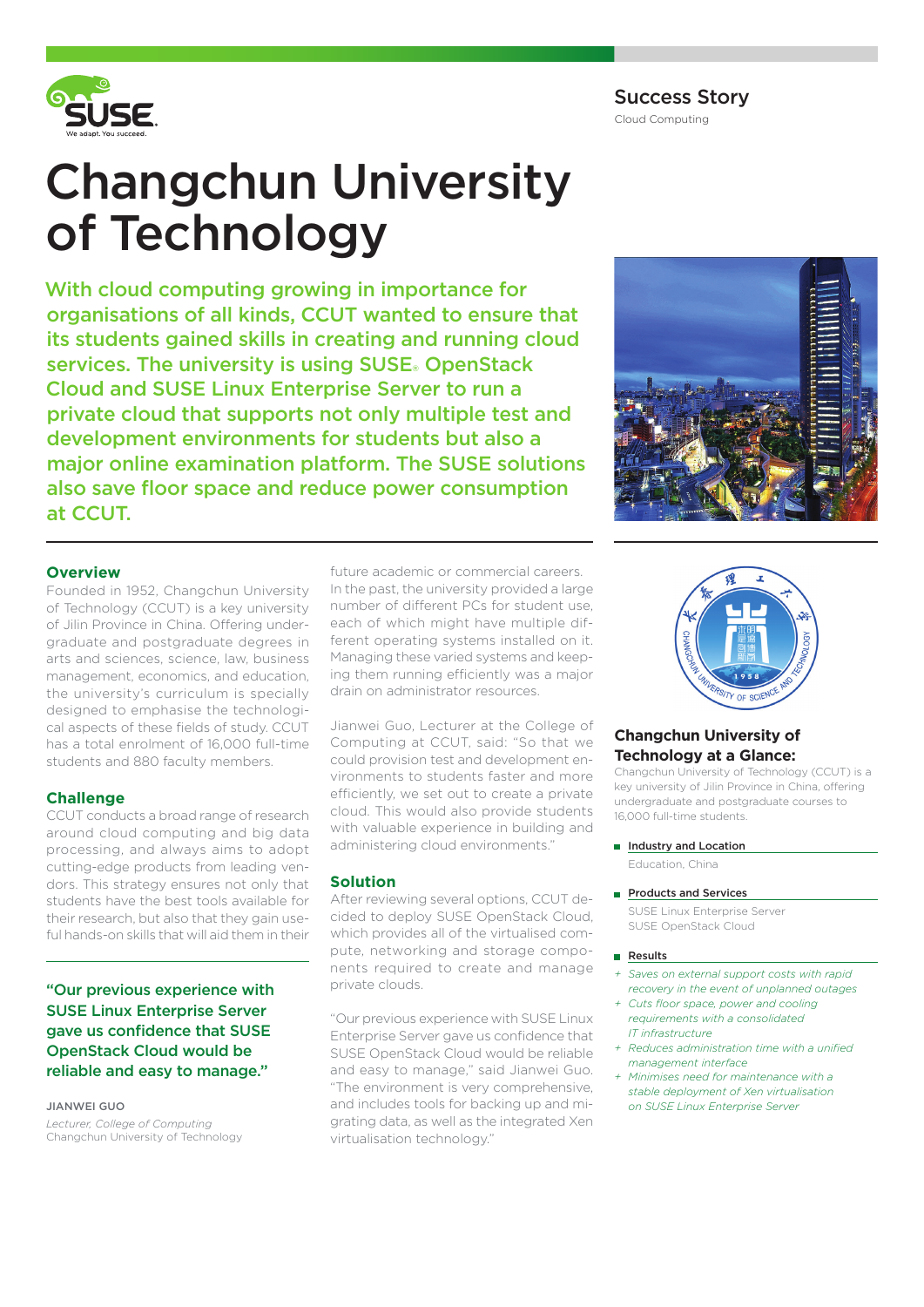Success Story

Cloud Computing

# Changchun University of Technology

With cloud computing growing in importance for organisations of all kinds, CCUT wanted to ensure that its students gained skills in creating and running cloud services. The university is using SUSE® OpenStack Cloud and SUSE Linux Enterprise Server to run a private cloud that supports not only multiple test and development environments for students but also a major online examination platform. The SUSE solutions also save floor space and reduce power consumption at CCUT.

# **Overview**

Founded in 1952, Changchun University of Technology (CCUT) is a key university of Jilin Province in China. Offering undergraduate and postgraduate degrees in arts and sciences, science, law, business management, economics, and education, the university's curriculum is specially designed to emphasise the technological aspects of these fields of study. CCUT has a total enrolment of 16,000 full-time students and 880 faculty members.

# **Challenge**

CCUT conducts a broad range of research around cloud computing and big data processing, and always aims to adopt cutting-edge products from leading vendors. This strategy ensures not only that students have the best tools available for their research, but also that they gain useful hands-on skills that will aid them in their

"Our previous experience with SUSE Linux Enterprise Server gave us confidence that SUSE OpenStack Cloud would be reliable and easy to manage."

JIANWEI GUO *Lecturer, College of Computing* Changchun University of Technology future academic or commercial careers. In the past, the university provided a large number of different PCs for student use, each of which might have multiple different operating systems installed on it. Managing these varied systems and keeping them running efficiently was a major drain on administrator resources.

Jianwei Guo, Lecturer at the College of Computing at CCUT, said: "So that we could provision test and development environments to students faster and more efficiently, we set out to create a private cloud. This would also provide students with valuable experience in building and administering cloud environments."

# **Solution**

After reviewing several options, CCUT decided to deploy SUSE OpenStack Cloud, which provides all of the virtualised compute, networking and storage components required to create and manage private clouds.

"Our previous experience with SUSE Linux Enterprise Server gave us confidence that SUSE OpenStack Cloud would be reliable and easy to manage," said Jianwei Guo. "The environment is very comprehensive, and includes tools for backing up and migrating data, as well as the integrated Xen virtualisation technology."





# **Changchun University of Technology at a Glance:**

Changchun University of Technology (CCUT) is a key university of Jilin Province in China, offering undergraduate and postgraduate courses to 16,000 full-time students.

- **Industry and Location** Education, China
- Products and Services

 SUSE Linux Enterprise Server SUSE OpenStack Cloud

#### **Results**

- *+ Saves on external support costs with rapid recovery in the event of unplanned outages*
- *+ Cuts floor space, power and cooling requirements with a consolidated IT infrastructure*
- *+ Reduces administration time with a unified management interface*
- *+ Minimises need for maintenance with a stable deployment of Xen virtualisation on SUSE Linux Enterprise Server*